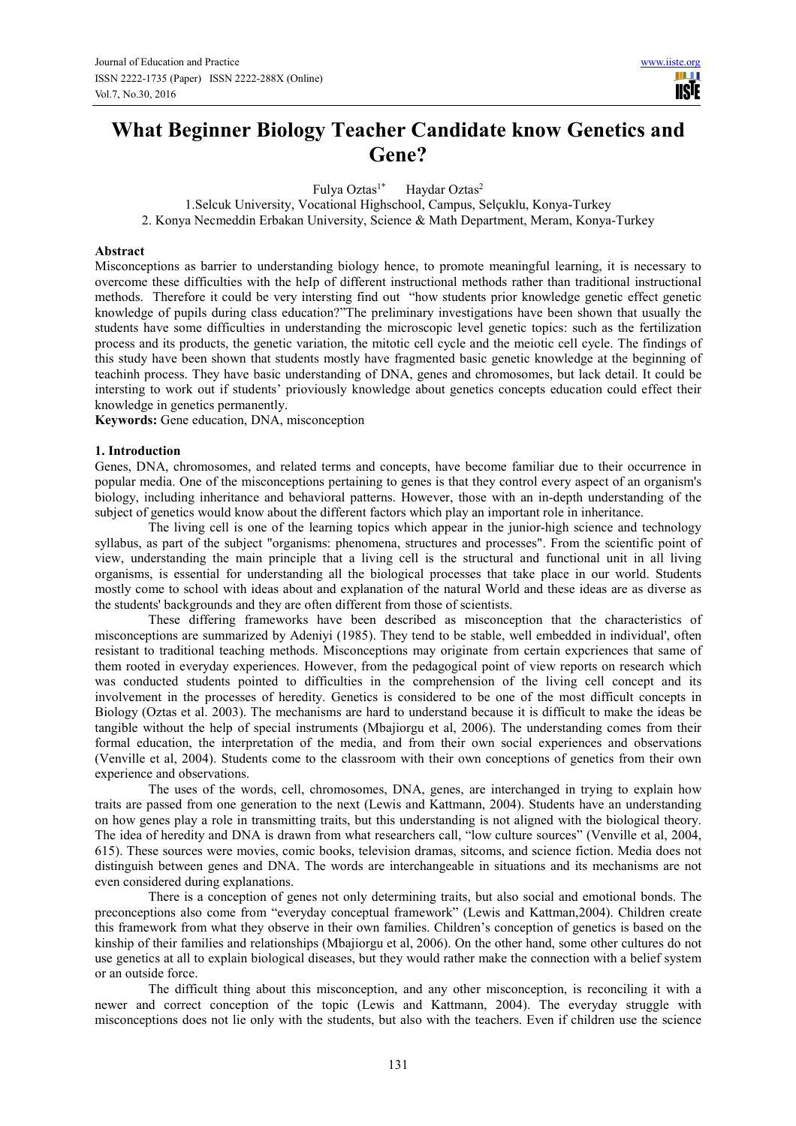# **What Beginner Biology Teacher Candidate know Genetics and Gene?**

Fulya Oztas<sup>1\*</sup> Haydar Oztas<sup>2</sup>

1.Selcuk University, Vocational Highschool, Campus, Selçuklu, Konya-Turkey 2. Konya Necmeddin Erbakan University, Science & Math Department, Meram, Konya-Turkey

#### **Abstract**

Misconceptions as barrier to understanding biology hence, to promote meaningful learning, it is necessary to overcome these difficulties with the heIp of different instructional methods rather than traditional instructional methods. Therefore it could be very intersting find out "how students prior knowledge genetic effect genetic knowledge of pupils during class education?"The preliminary investigations have been shown that usually the students have some difficulties in understanding the microscopic level genetic topics: such as the fertilization process and its products, the genetic variation, the mitotic cell cycle and the meiotic cell cycle. The findings of this study have been shown that students mostly have fragmented basic genetic knowledge at the beginning of teachinh process. They have basic understanding of DNA, genes and chromosomes, but lack detail. It could be intersting to work out if students' prioviously knowledge about genetics concepts education could effect their knowledge in genetics permanently.

**Keywords:** Gene education, DNA, misconception

#### **1. Introduction**

Genes, DNA, chromosomes, and related terms and concepts, have become familiar due to their occurrence in popular media. One of the misconceptions pertaining to genes is that they control every aspect of an organism's biology, including inheritance and behavioral patterns. However, those with an in-depth understanding of the subject of genetics would know about the different factors which play an important role in inheritance.

The living cell is one of the learning topics which appear in the junior-high science and technology syllabus, as part of the subject "organisms: phenomena, structures and processes". From the scientific point of view, understanding the main principle that a living cell is the structural and functional unit in all living organisms, is essential for understanding all the biological processes that take place in our world. Students mostly come to school with ideas about and explanation of the natural World and these ideas are as diverse as the students' backgrounds and they are often different from those of scientists.

These differing frameworks have been described as misconception that the characteristics of misconceptions are summarized by Adeniyi (1985). They tend to be stable, well embedded in individual', often resistant to traditional teaching methods. Misconceptions may originate from certain expcriences that same of them rooted in everyday experiences. However, from the pedagogical point of view reports on research which was conducted students pointed to difficulties in the comprehension of the living cell concept and its involvement in the processes of heredity. Genetics is considered to be one of the most difficult concepts in Biology (Oztas et al. 2003). The mechanisms are hard to understand because it is difficult to make the ideas be tangible without the help of special instruments (Mbajiorgu et al, 2006). The understanding comes from their formal education, the interpretation of the media, and from their own social experiences and observations (Venville et al, 2004). Students come to the classroom with their own conceptions of genetics from their own experience and observations.

The uses of the words, cell, chromosomes, DNA, genes, are interchanged in trying to explain how traits are passed from one generation to the next (Lewis and Kattmann, 2004). Students have an understanding on how genes play a role in transmitting traits, but this understanding is not aligned with the biological theory. The idea of heredity and DNA is drawn from what researchers call, "low culture sources" (Venville et al, 2004, 615). These sources were movies, comic books, television dramas, sitcoms, and science fiction. Media does not distinguish between genes and DNA. The words are interchangeable in situations and its mechanisms are not even considered during explanations.

There is a conception of genes not only determining traits, but also social and emotional bonds. The preconceptions also come from "everyday conceptual framework" (Lewis and Kattman,2004). Children create this framework from what they observe in their own families. Children's conception of genetics is based on the kinship of their families and relationships (Mbajiorgu et al, 2006). On the other hand, some other cultures do not use genetics at all to explain biological diseases, but they would rather make the connection with a belief system or an outside force.

The difficult thing about this misconception, and any other misconception, is reconciling it with a newer and correct conception of the topic (Lewis and Kattmann, 2004). The everyday struggle with misconceptions does not lie only with the students, but also with the teachers. Even if children use the science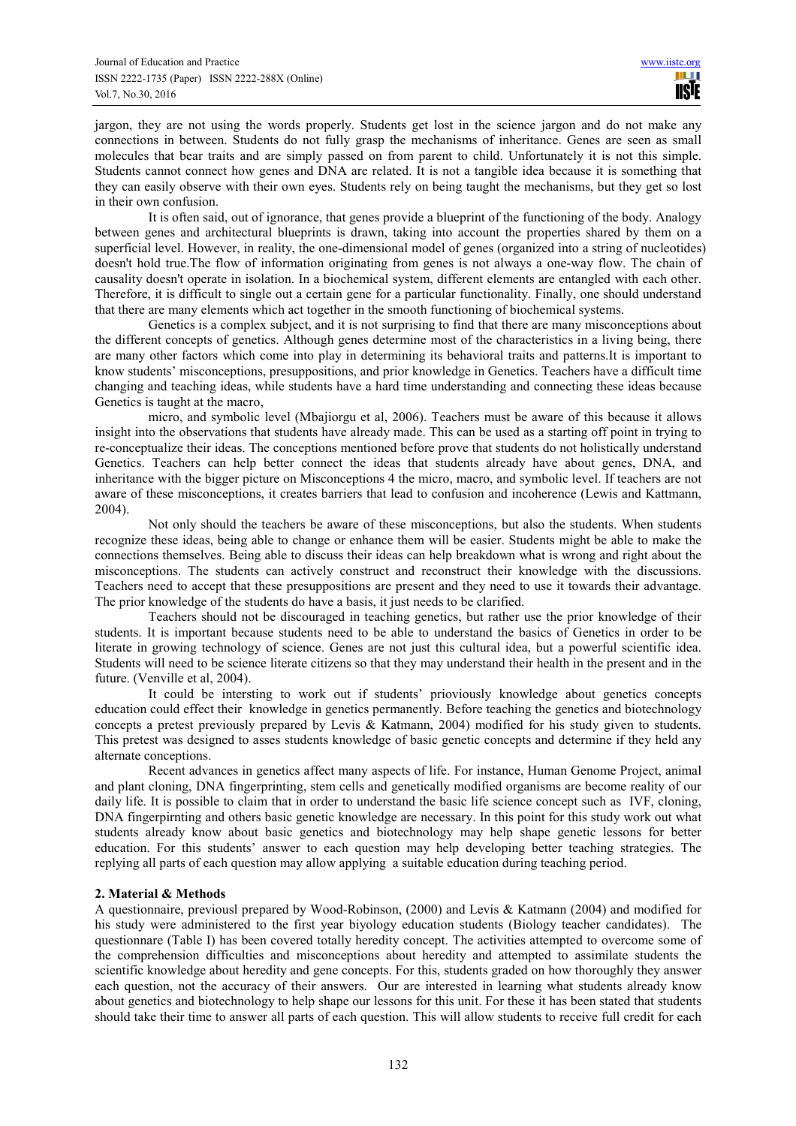jargon, they are not using the words properly. Students get lost in the science jargon and do not make any connections in between. Students do not fully grasp the mechanisms of inheritance. Genes are seen as small molecules that bear traits and are simply passed on from parent to child. Unfortunately it is not this simple. Students cannot connect how genes and DNA are related. It is not a tangible idea because it is something that they can easily observe with their own eyes. Students rely on being taught the mechanisms, but they get so lost in their own confusion.

It is often said, out of ignorance, that genes provide a blueprint of the functioning of the body. Analogy between genes and architectural blueprints is drawn, taking into account the properties shared by them on a superficial level. However, in reality, the one-dimensional model of genes (organized into a string of nucleotides) doesn't hold true.The flow of information originating from genes is not always a one-way flow. The chain of causality doesn't operate in isolation. In a biochemical system, different elements are entangled with each other. Therefore, it is difficult to single out a certain gene for a particular functionality. Finally, one should understand that there are many elements which act together in the smooth functioning of biochemical systems.

Genetics is a complex subject, and it is not surprising to find that there are many misconceptions about the different concepts of genetics. Although genes determine most of the characteristics in a living being, there are many other factors which come into play in determining its behavioral traits and patterns.It is important to know students' misconceptions, presuppositions, and prior knowledge in Genetics. Teachers have a difficult time changing and teaching ideas, while students have a hard time understanding and connecting these ideas because Genetics is taught at the macro,

micro, and symbolic level (Mbajiorgu et al, 2006). Teachers must be aware of this because it allows insight into the observations that students have already made. This can be used as a starting off point in trying to re-conceptualize their ideas. The conceptions mentioned before prove that students do not holistically understand Genetics. Teachers can help better connect the ideas that students already have about genes, DNA, and inheritance with the bigger picture on Misconceptions 4 the micro, macro, and symbolic level. If teachers are not aware of these misconceptions, it creates barriers that lead to confusion and incoherence (Lewis and Kattmann, 2004).

Not only should the teachers be aware of these misconceptions, but also the students. When students recognize these ideas, being able to change or enhance them will be easier. Students might be able to make the connections themselves. Being able to discuss their ideas can help breakdown what is wrong and right about the misconceptions. The students can actively construct and reconstruct their knowledge with the discussions. Teachers need to accept that these presuppositions are present and they need to use it towards their advantage. The prior knowledge of the students do have a basis, it just needs to be clarified.

Teachers should not be discouraged in teaching genetics, but rather use the prior knowledge of their students. It is important because students need to be able to understand the basics of Genetics in order to be literate in growing technology of science. Genes are not just this cultural idea, but a powerful scientific idea. Students will need to be science literate citizens so that they may understand their health in the present and in the future. (Venville et al, 2004).

It could be intersting to work out if students' prioviously knowledge about genetics concepts education could effect their knowledge in genetics permanently. Before teaching the genetics and biotechnology concepts a pretest previously prepared by Levis & Katmann, 2004) modified for his study given to students. This pretest was designed to asses students knowledge of basic genetic concepts and determine if they held any alternate conceptions.

Recent advances in genetics affect many aspects of life. For instance, Human Genome Project, animal and plant cloning, DNA fingerprinting, stem cells and genetically modified organisms are become reality of our daily life. It is possible to claim that in order to understand the basic life science concept such as IVF, cloning, DNA fingerpirnting and others basic genetic knowledge are necessary. In this point for this study work out what students already know about basic genetics and biotechnology may help shape genetic lessons for better education. For this students' answer to each question may help developing better teaching strategies. The replying all parts of each question may allow applying a suitable education during teaching period.

# **2. Material & Methods**

A questionnaire, previousl prepared by Wood-Robinson, (2000) and Levis & Katmann (2004) and modified for his study were administered to the first year biyology education students (Biology teacher candidates). The questionnare (Table I) has been covered totally heredity concept. The activities attempted to overcome some of the comprehension difficulties and misconceptions about heredity and attempted to assimilate students the scientific knowledge about heredity and gene concepts. For this, students graded on how thoroughly they answer each question, not the accuracy of their answers. Our are interested in learning what students already know about genetics and biotechnology to help shape our lessons for this unit. For these it has been stated that students should take their time to answer all parts of each question. This will allow students to receive full credit for each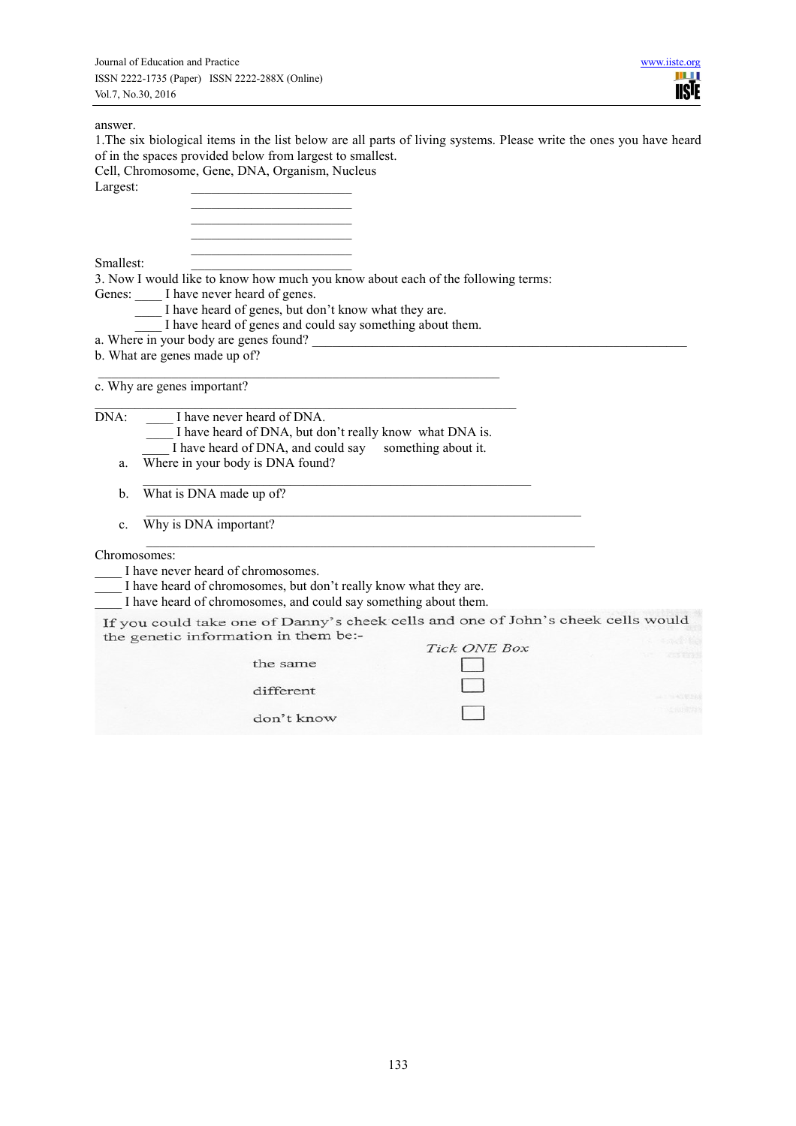# answer.

| 1. The six biological items in the list below are all parts of living systems. Please write the ones you have heard<br>of in the spaces provided below from largest to smallest. |  |
|----------------------------------------------------------------------------------------------------------------------------------------------------------------------------------|--|
| Cell, Chromosome, Gene, DNA, Organism, Nucleus                                                                                                                                   |  |
| Largest:                                                                                                                                                                         |  |
|                                                                                                                                                                                  |  |
|                                                                                                                                                                                  |  |
| Smallest:                                                                                                                                                                        |  |
| 3. Now I would like to know how much you know about each of the following terms:                                                                                                 |  |
| Genes: _____ I have never heard of genes.                                                                                                                                        |  |
| I have heard of genes, but don't know what they are.                                                                                                                             |  |
| I have heard of genes and could say something about them.<br>a. Where in your body are genes found?                                                                              |  |
| b. What are genes made up of?                                                                                                                                                    |  |
|                                                                                                                                                                                  |  |
| c. Why are genes important?                                                                                                                                                      |  |
| DNA:<br>I have never heard of DNA.                                                                                                                                               |  |
| I have heard of DNA, but don't really know what DNA is.                                                                                                                          |  |
| I have heard of DNA, and could say<br>something about it.                                                                                                                        |  |
| Where in your body is DNA found?<br>a.                                                                                                                                           |  |
| What is DNA made up of?<br>b.                                                                                                                                                    |  |
| Why is DNA important?<br>$\mathbf{c}$ .                                                                                                                                          |  |
| Chromosomes:                                                                                                                                                                     |  |
| I have never heard of chromosomes.                                                                                                                                               |  |
| I have heard of chromosomes, but don't really know what they are.                                                                                                                |  |
| I have heard of chromosomes, and could say something about them.                                                                                                                 |  |
| If you could take one of Danny's cheek cells and one of John's cheek cells would<br>the genetic information in them be:-                                                         |  |
| Tick ONE Box                                                                                                                                                                     |  |
| the same                                                                                                                                                                         |  |
| different                                                                                                                                                                        |  |
|                                                                                                                                                                                  |  |
| don't know                                                                                                                                                                       |  |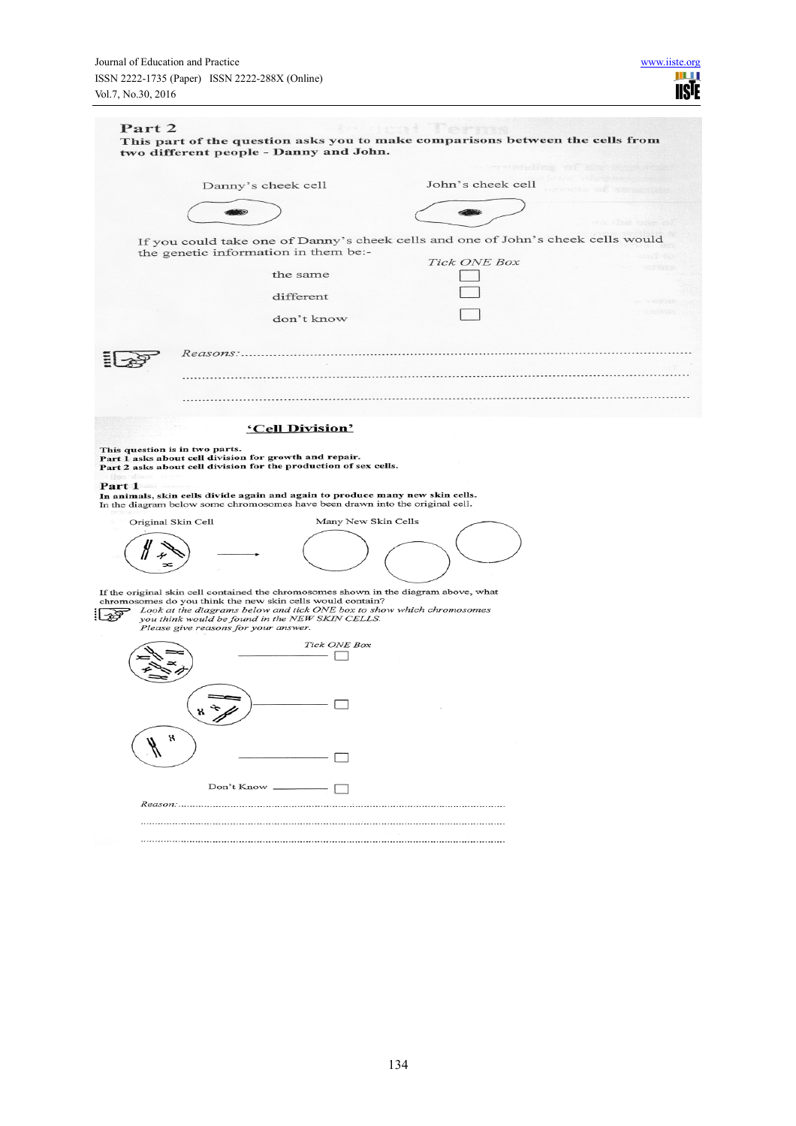|                                                                             |                                                                                                                                                                | John's cheek cell                                                                | THE PERSON NEWSFILM |
|-----------------------------------------------------------------------------|----------------------------------------------------------------------------------------------------------------------------------------------------------------|----------------------------------------------------------------------------------|---------------------|
|                                                                             | Danny's cheek cell                                                                                                                                             |                                                                                  |                     |
|                                                                             |                                                                                                                                                                |                                                                                  |                     |
|                                                                             |                                                                                                                                                                | If you could take one of Danny's cheek cells and one of John's cheek cells would |                     |
|                                                                             | the genetic information in them be:-                                                                                                                           | Tick ONE Box                                                                     |                     |
|                                                                             | the same                                                                                                                                                       |                                                                                  |                     |
|                                                                             | different                                                                                                                                                      |                                                                                  |                     |
|                                                                             | don't know                                                                                                                                                     |                                                                                  |                     |
|                                                                             |                                                                                                                                                                |                                                                                  |                     |
|                                                                             |                                                                                                                                                                |                                                                                  |                     |
|                                                                             |                                                                                                                                                                |                                                                                  |                     |
|                                                                             |                                                                                                                                                                |                                                                                  |                     |
|                                                                             | 'Cell Division'                                                                                                                                                |                                                                                  |                     |
|                                                                             |                                                                                                                                                                |                                                                                  |                     |
|                                                                             |                                                                                                                                                                |                                                                                  |                     |
|                                                                             | Part 1 asks about cell division for growth and repair.<br>Part 2 asks about cell division for the production of sex cells.                                     |                                                                                  |                     |
|                                                                             |                                                                                                                                                                |                                                                                  |                     |
|                                                                             | In animals, skin cells divide again and again to produce many new skin cells.<br>In the diagram below some chromosomes have been drawn into the original cell. |                                                                                  |                     |
|                                                                             |                                                                                                                                                                | Many New Skin Cells                                                              |                     |
|                                                                             |                                                                                                                                                                |                                                                                  |                     |
|                                                                             |                                                                                                                                                                |                                                                                  |                     |
|                                                                             |                                                                                                                                                                |                                                                                  |                     |
|                                                                             | If the original skin cell contained the chromosomes shown in the diagram above, what<br>chromosomes do you think the new skin cells would contain?             |                                                                                  |                     |
| This question is in two parts.<br>fee d'anv<br>Part 1<br>Original Skin Cell | Look at the diagrams below and tick ONE box to show which chromosomes<br>you think would be found in the NEW SKIN CELLS.                                       |                                                                                  |                     |
|                                                                             | Please give reasons for your answer.                                                                                                                           |                                                                                  |                     |
|                                                                             | <b>Tick ONE Box</b>                                                                                                                                            |                                                                                  |                     |
|                                                                             |                                                                                                                                                                |                                                                                  |                     |
|                                                                             |                                                                                                                                                                |                                                                                  |                     |
|                                                                             |                                                                                                                                                                |                                                                                  |                     |
|                                                                             |                                                                                                                                                                |                                                                                  |                     |
| x                                                                           |                                                                                                                                                                |                                                                                  |                     |
|                                                                             |                                                                                                                                                                |                                                                                  |                     |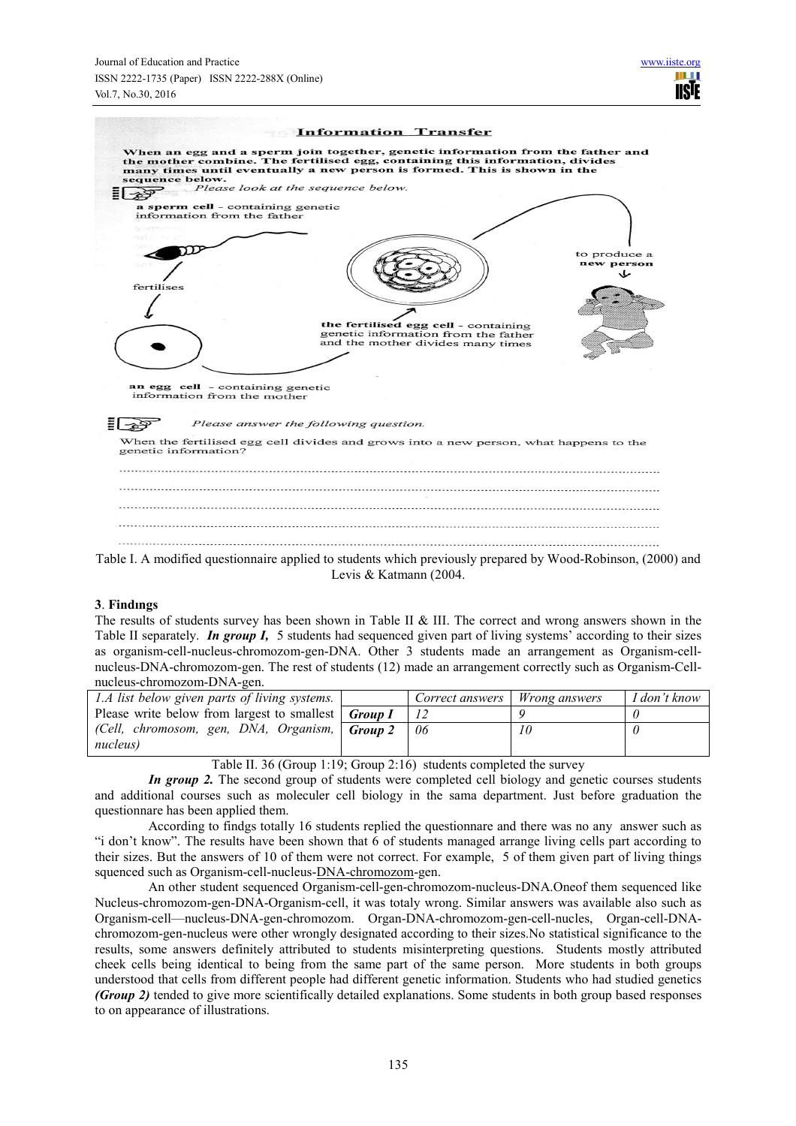

#### **3**. **Findıngs**

The results of students survey has been shown in Table II & III. The correct and wrong answers shown in the Table II separately. *In group I,* 5 students had sequenced given part of living systems' according to their sizes as organism-cell-nucleus-chromozom-gen-DNA. Other 3 students made an arrangement as Organism-cellnucleus-DNA-chromozom-gen. The rest of students (12) made an arrangement correctly such as Organism-Cellnucleus-chromozom-DNA-gen.

| m                                                                 |         |                 |                      |              |
|-------------------------------------------------------------------|---------|-----------------|----------------------|--------------|
| 1.A list below given parts of living systems.                     |         | Correct answers | <i>Wrong answers</i> | I don't know |
| Please write below from largest to smallest $\int$ <i>Group I</i> |         |                 |                      |              |
| (Cell, chromosom, gen, DNA, Organism,                             | Group 2 | 06              | 10                   |              |
| nucleus)                                                          |         |                 |                      |              |

Table II. 36 (Group 1:19; Group 2:16) students completed the survey

*In group 2*. The second group of students were completed cell biology and genetic courses students and additional courses such as moleculer cell biology in the sama department. Just before graduation the questionnare has been applied them.

According to findgs totally 16 students replied the questionnare and there was no any answer such as "i don't know". The results have been shown that 6 of students managed arrange living cells part according to their sizes. But the answers of 10 of them were not correct. For example, 5 of them given part of living things squenced such as Organism-cell-nucleus-DNA-chromozom-gen.

An other student sequenced Organism-cell-gen-chromozom-nucleus-DNA.Oneof them sequenced like Nucleus-chromozom-gen-DNA-Organism-cell, it was totaly wrong. Similar answers was available also such as Organism-cell—nucleus-DNA-gen-chromozom. Organ-DNA-chromozom-gen-cell-nucles, Organ-cell-DNAchromozom-gen-nucleus were other wrongly designated according to their sizes.No statistical significance to the results, some answers definitely attributed to students misinterpreting questions. Students mostly attributed cheek cells being identical to being from the same part of the same person. More students in both groups understood that cells from different people had different genetic information. Students who had studied genetics *(Group 2)* tended to give more scientifically detailed explanations. Some students in both group based responses to on appearance of illustrations.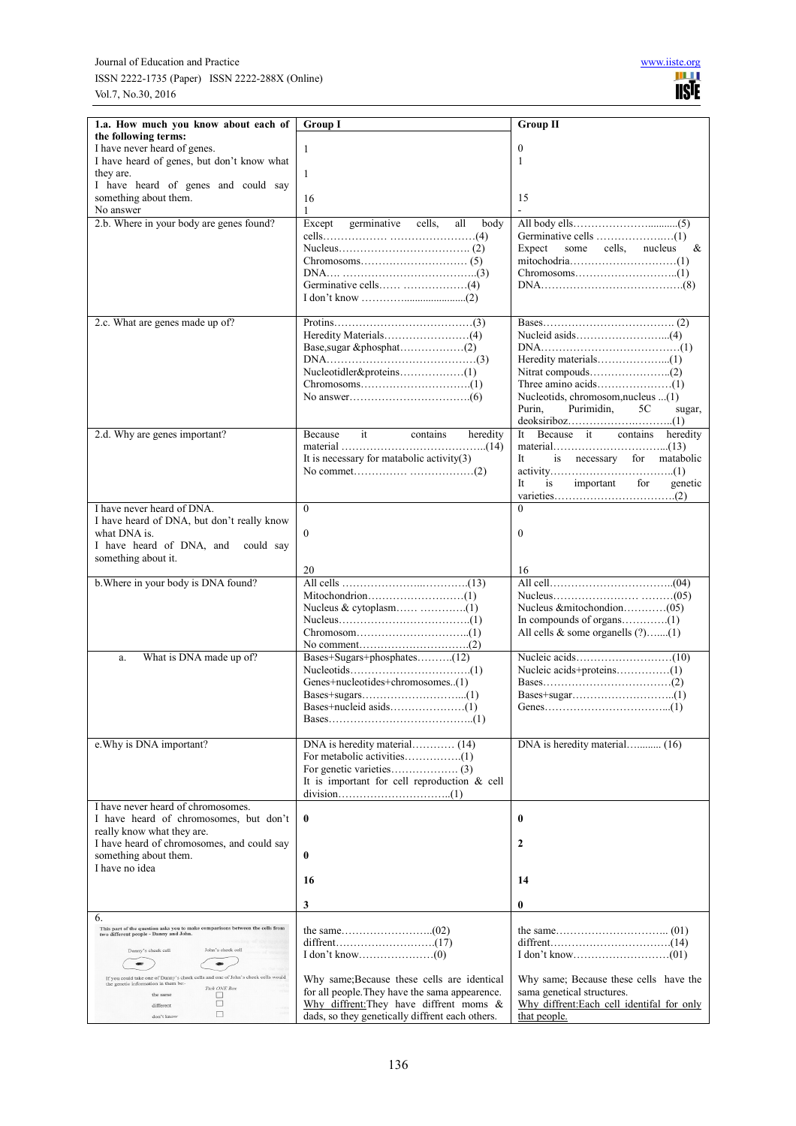| 1.a. How much you know about each of                                                     | <b>Group I</b>                                                                                | <b>Group II</b>                                                      |
|------------------------------------------------------------------------------------------|-----------------------------------------------------------------------------------------------|----------------------------------------------------------------------|
| the following terms:                                                                     |                                                                                               |                                                                      |
| I have never heard of genes.<br>I have heard of genes, but don't know what               | 1                                                                                             | $\mathbf{0}$<br>1                                                    |
| they are.                                                                                | 1                                                                                             |                                                                      |
| I have heard of genes and could say                                                      |                                                                                               |                                                                      |
| something about them.                                                                    | 16                                                                                            | 15                                                                   |
| No answer<br>2.b. Where in your body are genes found?                                    | $\mathbf{1}$                                                                                  |                                                                      |
|                                                                                          | germinative<br>Except<br>cells,<br>all<br>body                                                |                                                                      |
|                                                                                          |                                                                                               | Expect<br>some cells,<br>nucleus<br>&                                |
|                                                                                          |                                                                                               |                                                                      |
|                                                                                          |                                                                                               |                                                                      |
|                                                                                          |                                                                                               |                                                                      |
|                                                                                          |                                                                                               |                                                                      |
| 2.c. What are genes made up of?                                                          |                                                                                               |                                                                      |
|                                                                                          |                                                                                               |                                                                      |
|                                                                                          |                                                                                               |                                                                      |
|                                                                                          |                                                                                               |                                                                      |
|                                                                                          |                                                                                               |                                                                      |
|                                                                                          |                                                                                               | Nucleotids, chromosom, nucleus (1)                                   |
|                                                                                          |                                                                                               | Purin,<br>Purimidin,<br>5C<br>sugar,                                 |
| 2.d. Why are genes important?                                                            | it<br>Because<br>contains<br>heredity                                                         | Because it contains<br>It =<br>heredity                              |
|                                                                                          |                                                                                               |                                                                      |
|                                                                                          | It is necessary for matabolic activity $(3)$                                                  | It<br>is necessary for matabolic                                     |
|                                                                                          |                                                                                               |                                                                      |
|                                                                                          |                                                                                               | important<br>for<br>It<br>is<br>genetic                              |
| I have never heard of DNA.                                                               | $\theta$                                                                                      | $\Omega$                                                             |
| I have heard of DNA, but don't really know                                               |                                                                                               |                                                                      |
| what DNA is.<br>I have heard of DNA, and<br>could say                                    | $\mathbf{0}$                                                                                  | $\mathbf{0}$                                                         |
| something about it.                                                                      |                                                                                               |                                                                      |
|                                                                                          | 20                                                                                            | 16                                                                   |
| b. Where in your body is DNA found?                                                      |                                                                                               |                                                                      |
|                                                                                          |                                                                                               |                                                                      |
|                                                                                          |                                                                                               |                                                                      |
|                                                                                          |                                                                                               | All cells & some organells (?)(1)                                    |
|                                                                                          |                                                                                               |                                                                      |
| What is DNA made up of?<br>a.                                                            | Bases+Sugars+phosphates(12)                                                                   |                                                                      |
|                                                                                          | Genes+nucleotides+chromosomes(1)                                                              |                                                                      |
|                                                                                          |                                                                                               |                                                                      |
|                                                                                          |                                                                                               |                                                                      |
|                                                                                          |                                                                                               |                                                                      |
| e. Why is DNA important?                                                                 |                                                                                               | DNA is heredity material (16)                                        |
|                                                                                          |                                                                                               |                                                                      |
|                                                                                          |                                                                                               |                                                                      |
|                                                                                          | It is important for cell reproduction $\&$ cell                                               |                                                                      |
| I have never heard of chromosomes.                                                       |                                                                                               |                                                                      |
| I have heard of chromosomes, but don't                                                   | $\bf{0}$                                                                                      | $\bf{0}$                                                             |
| really know what they are.<br>I have heard of chromosomes, and could say                 |                                                                                               | $\mathbf{2}$                                                         |
| something about them.                                                                    | $\bf{0}$                                                                                      |                                                                      |
| I have no idea                                                                           |                                                                                               |                                                                      |
|                                                                                          | 16                                                                                            | 14                                                                   |
|                                                                                          | 3                                                                                             | $\bf{0}$                                                             |
| 6.<br>This part of the question asks you to make comparisons between the cells from      |                                                                                               |                                                                      |
| two different people - Danny and John.                                                   |                                                                                               |                                                                      |
| Danny's cheek cell<br>John's cheek cell                                                  |                                                                                               |                                                                      |
| 4901<br>If you could take one of Danny's cheek cells and one of John's cheek cells would |                                                                                               |                                                                      |
| the genetic information in them be:-<br>Tick ONE Box                                     | Why same; Because these cells are identical<br>for all people. They have the sama appearence. | Why same; Because these cells have the<br>sama genetical structures. |
| the same<br>□<br>$\Box$<br>different                                                     | Why diffrent: They have diffrent moms &                                                       | Why diffrent:Each cell identifal for only                            |
| $\Box$<br>don't know                                                                     | dads, so they genetically diffrent each others.                                               | that people.                                                         |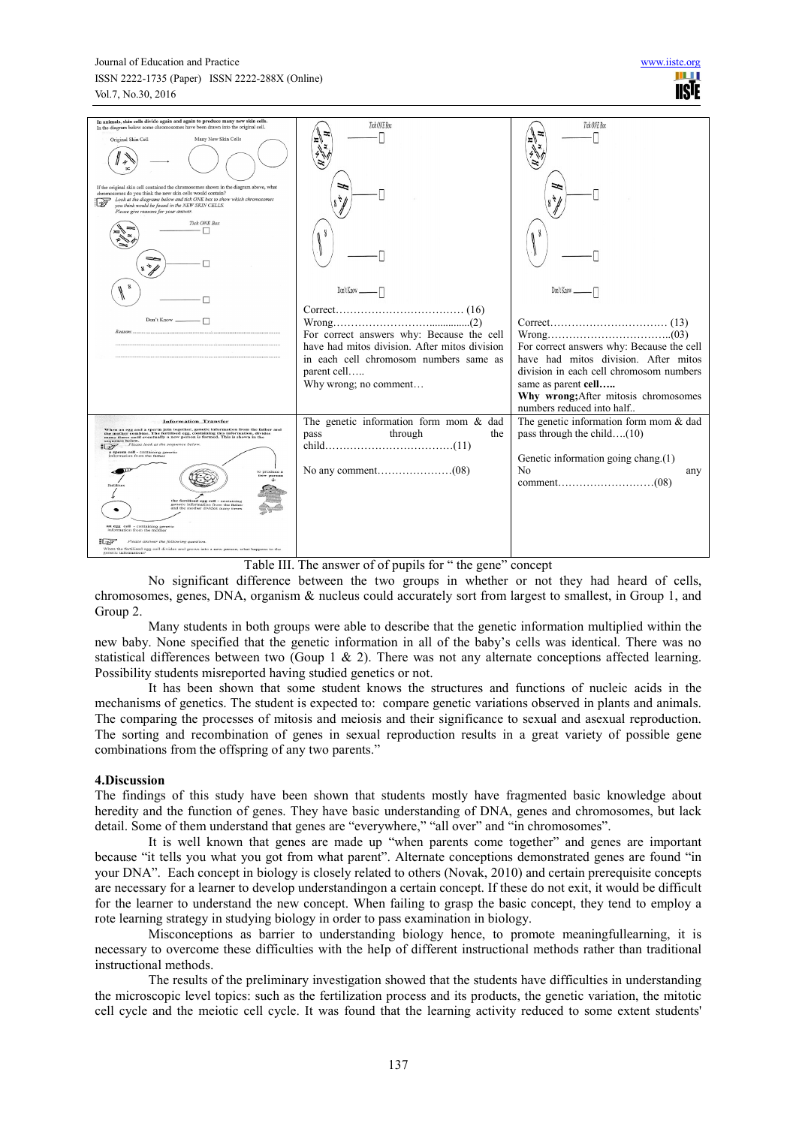#### Journal of Education and Practice. ISSN 2222-1735 (Paper) ISSN 2222-288X (Online) Vol.7, No.30, 2016

| In animals, skin cells divide again and again to produce many new skin cells.<br>In the diagram below some chromosomes have been drawn into the original cell.                                                                                                                                                                                                                                                                                                                                                                                                                                                                        | Tick ONE Box                                                                                                                                                                         | Tick ONE Box                                                                                                                                                                                                |
|---------------------------------------------------------------------------------------------------------------------------------------------------------------------------------------------------------------------------------------------------------------------------------------------------------------------------------------------------------------------------------------------------------------------------------------------------------------------------------------------------------------------------------------------------------------------------------------------------------------------------------------|--------------------------------------------------------------------------------------------------------------------------------------------------------------------------------------|-------------------------------------------------------------------------------------------------------------------------------------------------------------------------------------------------------------|
| Many New Skin Cells<br>Original Skin Cell                                                                                                                                                                                                                                                                                                                                                                                                                                                                                                                                                                                             |                                                                                                                                                                                      |                                                                                                                                                                                                             |
| If the original skin cell contained the chromosomes shown in the diagram above, what<br>chromosomes do you think the new skin cells would contain?<br>Look at the diagrams below and tick ONE box to show which chromosomes<br>you think would be found in the NEW SKIN CELLS.<br>Please give reasons for your answer.                                                                                                                                                                                                                                                                                                                |                                                                                                                                                                                      |                                                                                                                                                                                                             |
| <b>Tick ONE Box</b>                                                                                                                                                                                                                                                                                                                                                                                                                                                                                                                                                                                                                   |                                                                                                                                                                                      |                                                                                                                                                                                                             |
|                                                                                                                                                                                                                                                                                                                                                                                                                                                                                                                                                                                                                                       | Don't Know                                                                                                                                                                           | Don't Know                                                                                                                                                                                                  |
| Don't Know<br>Reason:                                                                                                                                                                                                                                                                                                                                                                                                                                                                                                                                                                                                                 | (16)<br>For correct answers why: Because the cell<br>have had mitos division. After mitos division<br>in each cell chromosom numbers same as<br>parent cell<br>Why wrong; no comment | (13)<br>(03)<br>For correct answers why: Because the cell<br>have had mitos division. After mitos<br>division in each cell chromosom numbers<br>same as parent cell<br>Why wrong; After mitosis chromosomes |
|                                                                                                                                                                                                                                                                                                                                                                                                                                                                                                                                                                                                                                       |                                                                                                                                                                                      | numbers reduced into half                                                                                                                                                                                   |
| <b>Information Transfer</b><br>When an egg and a sperm join together, genetic information from the father and<br>the mother combine. The fertilised egg, containing this information, divides<br>many times until eventually a new person is formed. This is shown in the<br>sequence below.<br>Please look at the sequence below<br>「「お子<br>a sperm cell - containing genetic<br>information from the father<br>to produce a<br>v person<br>r<br>the fertilised egg cell - containing<br>genetic information from the father<br>and the mother divides many times<br>an egg cell - containing genetic<br>information from the mother | The genetic information form mom $\&$ dad<br>through<br>pass<br>the                                                                                                                  | The genetic information form mom $\&$ dad<br>pass through the child $(10)$<br>Genetic information going chang.(1)<br>No<br>any                                                                              |
| Please answer the following question.<br>日本ア<br>When the fertilised egg cell divides and grows into a new person, what happens to the<br>genetic information?                                                                                                                                                                                                                                                                                                                                                                                                                                                                         |                                                                                                                                                                                      |                                                                                                                                                                                                             |

Table III. The answer of of pupils for " the gene" concept

No significant difference between the two groups in whether or not they had heard of cells, chromosomes, genes, DNA, organism & nucleus could accurately sort from largest to smallest, in Group 1, and Group 2.

Many students in both groups were able to describe that the genetic information multiplied within the new baby. None specified that the genetic information in all of the baby's cells was identical. There was no statistical differences between two (Goup 1  $\&$  2). There was not any alternate conceptions affected learning. Possibility students misreported having studied genetics or not.

It has been shown that some student knows the structures and functions of nucleic acids in the mechanisms of genetics. The student is expected to: compare genetic variations observed in plants and animals. The comparing the processes of mitosis and meiosis and their significance to sexual and asexual reproduction. The sorting and recombination of genes in sexual reproduction results in a great variety of possible gene combinations from the offspring of any two parents."

# **4.Discussion**

The findings of this study have been shown that students mostly have fragmented basic knowledge about heredity and the function of genes. They have basic understanding of DNA, genes and chromosomes, but lack detail. Some of them understand that genes are "everywhere," "all over" and "in chromosomes".

It is well known that genes are made up "when parents come together" and genes are important because "it tells you what you got from what parent". Alternate conceptions demonstrated genes are found "in your DNA". Each concept in biology is closely related to others (Novak, 2010) and certain prerequisite concepts are necessary for a learner to develop understandingon a certain concept. If these do not exit, it would be difficult for the learner to understand the new concept. When failing to grasp the basic concept, they tend to employ a rote learning strategy in studying biology in order to pass examination in biology.

Misconceptions as barrier to understanding biology hence, to promote meaningfullearning, it is necessary to overcome these difficulties with the heIp of different instructional methods rather than traditional instructional methods.

The results of the preliminary investigation showed that the students have difficulties in understanding the microscopic level topics: such as the fertilization process and its products, the genetic variation, the mitotic cell cycle and the meiotic cell cycle. It was found that the learning activity reduced to some extent students'